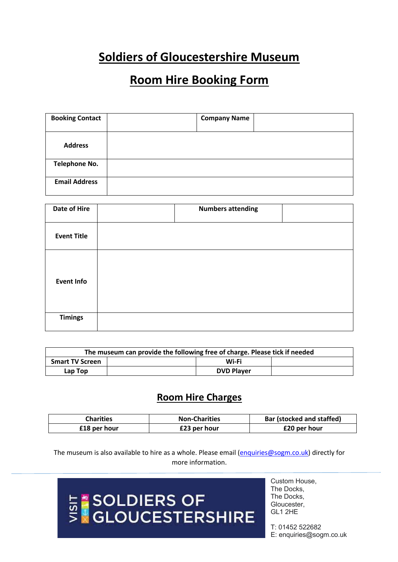## **Soldiers of Gloucestershire Museum**

### **Room Hire Booking Form**

| <b>Booking Contact</b> | <b>Company Name</b> |  |
|------------------------|---------------------|--|
|                        |                     |  |
| <b>Address</b>         |                     |  |
| <b>Telephone No.</b>   |                     |  |
| <b>Email Address</b>   |                     |  |

| Date of Hire       | <b>Numbers attending</b> |
|--------------------|--------------------------|
| <b>Event Title</b> |                          |
| <b>Event Info</b>  |                          |
| <b>Timings</b>     |                          |

| The museum can provide the following free of charge. Please tick if needed |  |                   |  |
|----------------------------------------------------------------------------|--|-------------------|--|
| <b>Smart TV Screen</b>                                                     |  | Wi-Fi             |  |
| Lap Top                                                                    |  | <b>DVD Player</b> |  |

### **Room Hire Charges**

| <b>Charities</b> | <b>Non-Charities</b> | <b>Bar (stocked and staffed)</b> |
|------------------|----------------------|----------------------------------|
| £18 per hour     | £23 per hour         | £20 per hour                     |

The museum is also available to hire as a whole. Please email (enquiries@sogm.co.uk) directly for more information.

# **E \*SOLDIERS OF<br>S \*GLOUCESTERSHIRE**

Custom House, The Docks, The Docks, Gloucester, GL1 2HE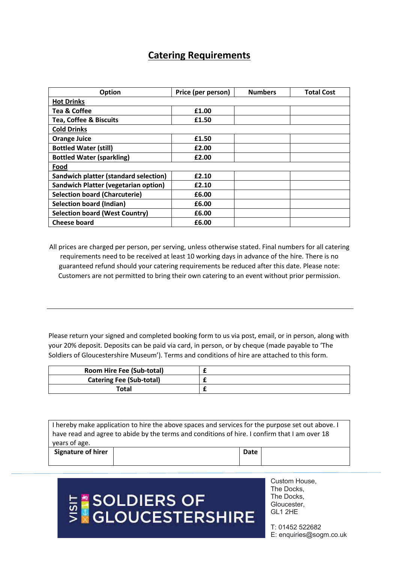### **Catering Requirements**

| <b>Option</b>                                | Price (per person) | <b>Numbers</b> | <b>Total Cost</b> |
|----------------------------------------------|--------------------|----------------|-------------------|
| <b>Hot Drinks</b>                            |                    |                |                   |
| Tea & Coffee                                 | £1.00              |                |                   |
| <b>Tea, Coffee &amp; Biscuits</b>            | £1.50              |                |                   |
| <b>Cold Drinks</b>                           |                    |                |                   |
| <b>Orange Juice</b>                          | £1.50              |                |                   |
| <b>Bottled Water (still)</b>                 | £2.00              |                |                   |
| <b>Bottled Water (sparkling)</b>             | £2.00              |                |                   |
| Food                                         |                    |                |                   |
| <b>Sandwich platter (standard selection)</b> | £2.10              |                |                   |
| <b>Sandwich Platter (vegetarian option)</b>  | £2.10              |                |                   |
| <b>Selection board (Charcuterie)</b>         | £6.00              |                |                   |
| <b>Selection board (Indian)</b>              | £6.00              |                |                   |
| <b>Selection board (West Country)</b>        | £6.00              |                |                   |
| <b>Cheese board</b>                          | £6.00              |                |                   |

All prices are charged per person, per serving, unless otherwise stated. Final numbers for all catering requirements need to be received at least 10 working days in advance of the hire. There is no guaranteed refund should your catering requirements be reduced after this date. Please note: Customers are not permitted to bring their own catering to an event without prior permission.

Please return your signed and completed booking form to us via post, email, or in person, along with your 20% deposit. Deposits can be paid via card, in person, or by cheque (made payable to 'The Soldiers of Gloucestershire Museum'). Terms and conditions of hire are attached to this form.

| <b>Room Hire Fee (Sub-total)</b> |  |
|----------------------------------|--|
| <b>Catering Fee (Sub-total)</b>  |  |
| Total                            |  |

| I hereby make application to hire the above spaces and services for the purpose set out above. I<br>have read and agree to abide by the terms and conditions of hire. I confirm that I am over 18<br>years of age. |  |  |  |
|--------------------------------------------------------------------------------------------------------------------------------------------------------------------------------------------------------------------|--|--|--|
| <b>Signature of hirer</b><br>Date                                                                                                                                                                                  |  |  |  |

# **E SOLDIERS OF<br>SEGLOUCESTERSHIRE**

Custom House, The Docks, The Docks, Gloucester, GL1 2HE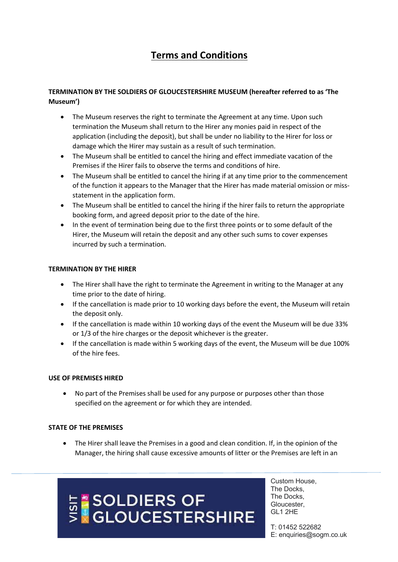### **Terms and Conditions**

#### **TERMINATION BY THE SOLDIERS OF GLOUCESTERSHIRE MUSEUM (hereafter referred to as 'The Museum')**

- The Museum reserves the right to terminate the Agreement at any time. Upon such termination the Museum shall return to the Hirer any monies paid in respect of the application (including the deposit), but shall be under no liability to the Hirer for loss or damage which the Hirer may sustain as a result of such termination.
- The Museum shall be entitled to cancel the hiring and effect immediate vacation of the Premises if the Hirer fails to observe the terms and conditions of hire.
- The Museum shall be entitled to cancel the hiring if at any time prior to the commencement of the function it appears to the Manager that the Hirer has made material omission or missstatement in the application form.
- The Museum shall be entitled to cancel the hiring if the hirer fails to return the appropriate booking form, and agreed deposit prior to the date of the hire.
- In the event of termination being due to the first three points or to some default of the Hirer, the Museum will retain the deposit and any other such sums to cover expenses incurred by such a termination.

#### **TERMINATION BY THE HIRER**

- The Hirer shall have the right to terminate the Agreement in writing to the Manager at any time prior to the date of hiring.
- If the cancellation is made prior to 10 working days before the event, the Museum will retain the deposit only.
- If the cancellation is made within 10 working days of the event the Museum will be due 33% or 1/3 of the hire charges or the deposit whichever is the greater.
- If the cancellation is made within 5 working days of the event, the Museum will be due 100% of the hire fees.

#### **USE OF PREMISES HIRED**

• No part of the Premises shall be used for any purpose or purposes other than those specified on the agreement or for which they are intended.

#### **STATE OF THE PREMISES**

• The Hirer shall leave the Premises in a good and clean condition. If, in the opinion of the Manager, the hiring shall cause excessive amounts of litter or the Premises are left in an

# **E \*SOLDIERS OF<br>S \*GLOUCESTERSHIRE**

Custom House, The Docks, The Docks, Gloucester, GL1 2HE